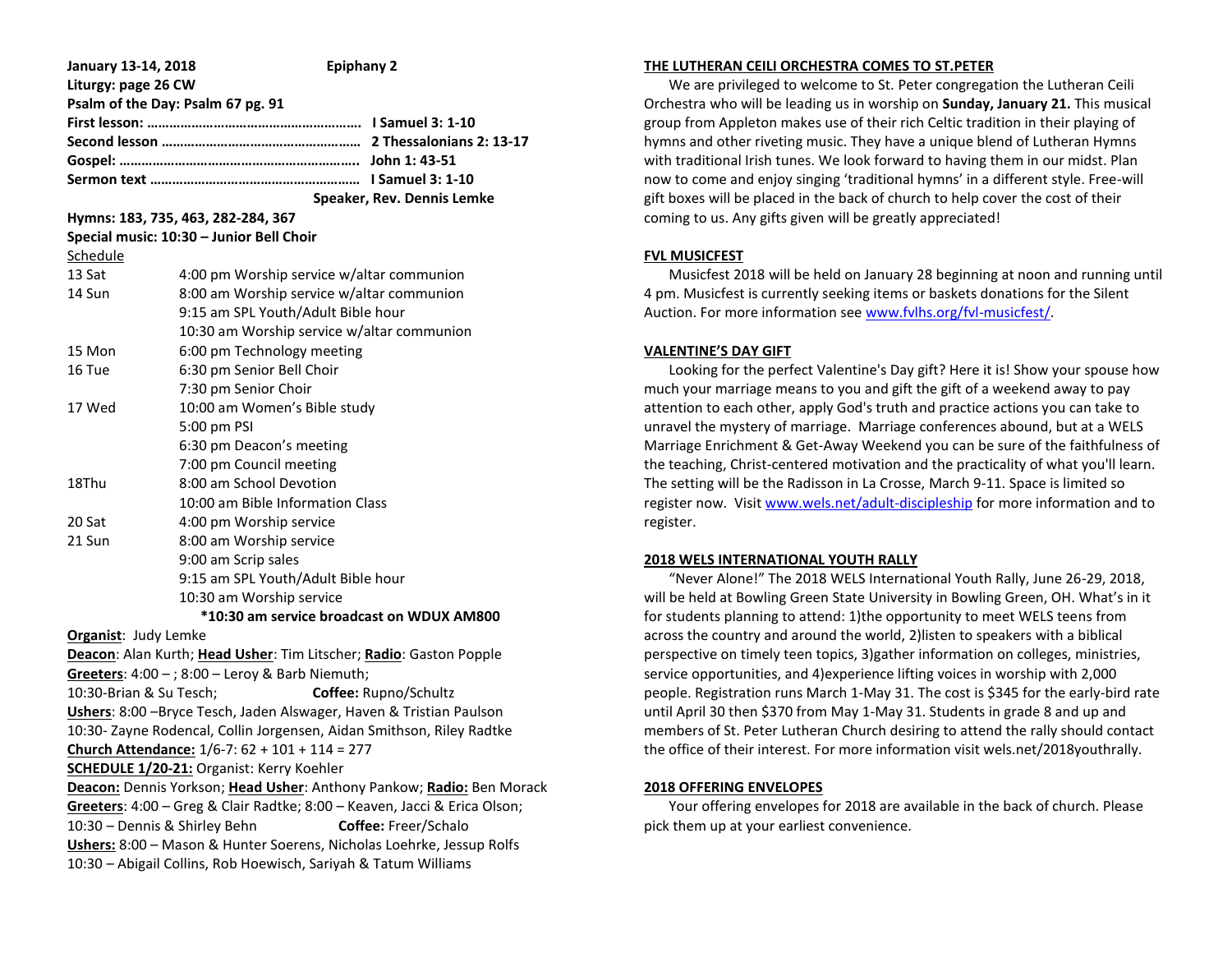| January 13-14, 2018               | <b>Epiphany 2</b>                                                         |                                                                       |  |  |
|-----------------------------------|---------------------------------------------------------------------------|-----------------------------------------------------------------------|--|--|
| Liturgy: page 26 CW               |                                                                           |                                                                       |  |  |
|                                   | Psalm of the Day: Psalm 67 pg. 91                                         |                                                                       |  |  |
|                                   |                                                                           |                                                                       |  |  |
|                                   |                                                                           |                                                                       |  |  |
|                                   |                                                                           |                                                                       |  |  |
|                                   |                                                                           |                                                                       |  |  |
|                                   |                                                                           | Speaker, Rev. Dennis Lemke                                            |  |  |
|                                   | Hymns: 183, 735, 463, 282-284, 367                                        |                                                                       |  |  |
|                                   | Special music: 10:30 - Junior Bell Choir                                  |                                                                       |  |  |
| <u>Schedule</u>                   |                                                                           |                                                                       |  |  |
| 13 Sat                            | 4:00 pm Worship service w/altar communion                                 |                                                                       |  |  |
| 14 Sun                            | 8:00 am Worship service w/altar communion                                 |                                                                       |  |  |
|                                   | 9:15 am SPL Youth/Adult Bible hour                                        |                                                                       |  |  |
|                                   | 10:30 am Worship service w/altar communion                                |                                                                       |  |  |
| 15 Mon                            | 6:00 pm Technology meeting                                                |                                                                       |  |  |
| 16 Tue                            | 6:30 pm Senior Bell Choir                                                 |                                                                       |  |  |
|                                   | 7:30 pm Senior Choir                                                      |                                                                       |  |  |
| 17 Wed                            | 10:00 am Women's Bible study                                              |                                                                       |  |  |
|                                   | 5:00 pm PSI                                                               |                                                                       |  |  |
|                                   | 6:30 pm Deacon's meeting                                                  |                                                                       |  |  |
|                                   | 7:00 pm Council meeting                                                   |                                                                       |  |  |
| 18Thu                             | 8:00 am School Devotion                                                   |                                                                       |  |  |
|                                   | 10:00 am Bible Information Class                                          |                                                                       |  |  |
| 20 Sat                            | 4:00 pm Worship service                                                   |                                                                       |  |  |
| 8:00 am Worship service<br>21 Sun |                                                                           |                                                                       |  |  |
|                                   | 9:00 am Scrip sales                                                       |                                                                       |  |  |
|                                   | 9:15 am SPL Youth/Adult Bible hour                                        |                                                                       |  |  |
|                                   | 10:30 am Worship service                                                  |                                                                       |  |  |
|                                   | *10:30 am service broadcast on WDUX AM800                                 |                                                                       |  |  |
| <b>Organist: Judy Lemke</b>       |                                                                           |                                                                       |  |  |
|                                   | Deacon: Alan Kurth; Head Usher: Tim Litscher; Radio: Gaston Popple        |                                                                       |  |  |
|                                   | Greeters: 4:00 - ; 8:00 - Leroy & Barb Niemuth;                           |                                                                       |  |  |
| 10:30-Brian & Su Tesch;           |                                                                           | Coffee: Rupno/Schultz                                                 |  |  |
|                                   | Ushers: 8:00 -Bryce Tesch, Jaden Alswager, Haven & Tristian Paulson       |                                                                       |  |  |
|                                   | 10:30- Zayne Rodencal, Collin Jorgensen, Aidan Smithson, Riley Radtke     |                                                                       |  |  |
|                                   | Church Attendance: 1/6-7: 62 + 101 + 114 = 277                            |                                                                       |  |  |
|                                   | <b>SCHEDULE 1/20-21: Organist: Kerry Koehler</b>                          |                                                                       |  |  |
|                                   |                                                                           | Deacon: Dennis Yorkson; Head Usher: Anthony Pankow; Radio: Ben Morack |  |  |
|                                   | Greeters: 4:00 - Greg & Clair Radtke; 8:00 - Keaven, Jacci & Erica Olson; |                                                                       |  |  |
| 10:30 - Dennis & Shirley Behn     |                                                                           | Coffee: Freer/Schalo                                                  |  |  |
|                                   | Ushers: 8:00 - Mason & Hunter Soerens, Nicholas Loehrke, Jessup Rolfs     |                                                                       |  |  |
|                                   | 10:30 - Abigail Collins, Rob Hoewisch, Sariyah & Tatum Williams           |                                                                       |  |  |

### **THE LUTHERAN CEILI ORCHESTRA COMES TO ST.PETER**

 We are privileged to welcome to St. Peter congregation the Lutheran Ceili Orchestra who will be leading us in worship on **Sunday, January 21.** This musical group from Appleton makes use of their rich Celtic tradition in their playing of hymns and other riveting music. They have a unique blend of Lutheran Hymns with traditional Irish tunes. We look forward to having them in our midst. Plan now to come and enjoy singing 'traditional hymns' in a different style. Free-will gift boxes will be placed in the back of church to help cover the cost of their coming to us. Any gifts given will be greatly appreciated!

### **FVL MUSICFEST**

 Musicfest 2018 will be held on January 28 beginning at noon and running until 4 pm. Musicfest is currently seeking items or baskets donations for the Silent Auction. For more information se[e www.fvlhs.org/fvl-musicfest/.](http://www.fvlhs.org/fvl-musicfest/)

# **VALENTINE'S DAY GIFT**

 Looking for the perfect Valentine's Day gift? Here it is! Show your spouse how much your marriage means to you and gift the gift of a weekend away to pay attention to each other, apply God's truth and practice actions you can take to unravel the mystery of marriage. Marriage conferences abound, but at a WELS Marriage Enrichment & Get-Away Weekend you can be sure of the faithfulness of the teaching, Christ-centered motivation and the practicality of what you'll learn. The setting will be the Radisson in La Crosse, March 9-11. Space is limited so register now. Visit [www.wels.net/adult-discipleship](http://www.wels.net/adult-discipleship) for more information and to register.

# **2018 WELS INTERNATIONAL YOUTH RALLY**

 "Never Alone!" The 2018 WELS International Youth Rally, June 26-29, 2018, will be held at Bowling Green State University in Bowling Green, OH. What's in it for students planning to attend: 1)the opportunity to meet WELS teens from across the country and around the world, 2)listen to speakers with a biblical perspective on timely teen topics, 3)gather information on colleges, ministries, service opportunities, and 4)experience lifting voices in worship with 2,000 people. Registration runs March 1-May 31. The cost is \$345 for the early-bird rate until April 30 then \$370 from May 1-May 31. Students in grade 8 and up and members of St. Peter Lutheran Church desiring to attend the rally should contact the office of their interest. For more information visit wels.net/2018youthrally.

### **2018 OFFERING ENVELOPES**

 Your offering envelopes for 2018 are available in the back of church. Please pick them up at your earliest convenience.